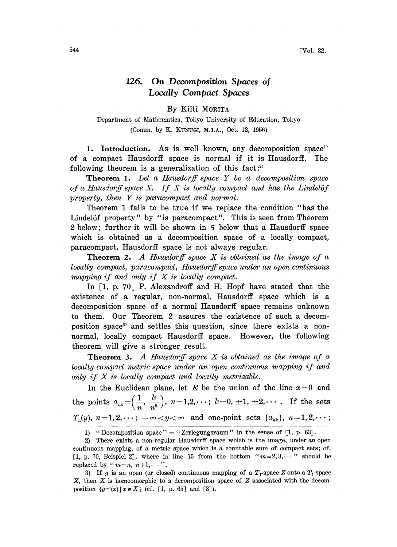## 126. On Decomposition Spaces o Locally Compact Spaces

## By Kiiti MORITA

Department of Mathematics, Tokyo University of Education, Tokyo (Comm. by K. KUNUGI, M.J.A., Oct. 12, 1956)

1. Introduction. As is well known, any decomposition space<sup>1</sup> of a compact Hausdorff space is normal if it is Hausdorff. The following theorem is a generalization of this fact:<sup>2)</sup>

Theorem 1. Let a Hausdorff space Y be a decomposition space of a Hausdorff space  $X$ . If  $X$  is locally compact and has the Lindelöf property, then Y is paracompact and normal.

Theorem <sup>1</sup> fails to be true if we replace the condition "has the Lindelöf property" by "is paracompact". This is seen from Theorem 2 below; further it will be shown in 5 below that a Hausdorff space which is obtained as a decomposition space of a locally compact, paracompact, Hausdorff space is not always regular.

**Theorem 2.** A Hausdorff space  $X$  is obtained as the image of a locally compact, paracompact, Hausdorff space under an open continuous mapping if and only if  $X$  is locally compact.

In  $\lceil 1, p. 70 \rceil$  P. Alexandroff and H. Hopf have stated that the existence of a regular, non-normal, Hausdorff space which is a decomposition space of a normal Hausdorff space remains unknown to them. Our Theorem 2 assures the existence of such a decomposition space<sup>3</sup> and settles this question, since there exists a nonnormal, locally compact Hausdorff space. However, the following theorem will give a stronger result.

**Theorem 3.** A Hausdorff space  $X$  is obtained as the image of a locally compact metric space under an open continuous mapping if and only if  $X$  is locally compact and locally metrizable.

In the Euclidean plane, let E be the union of the line  $x=0$  and the points  $a_{nk} = \left(\frac{1}{n}, \frac{k}{n^2}\right), n = 1,2,\dots; k = 0, \pm 1, \pm 2,\dots$ . If the sets  $T_n(y), n=1, 2, \dots; -\infty < y < \infty$  and one-point sets  $\{a_{nk}\}, n=1, 2, \dots;$ 

<sup>1) &</sup>quot;Decomposition space" = "Zerlegungsraum" in the sense of  $[1, p. 63]$ .

<sup>2)</sup> There exists a non-regular Hausdorff space which is the image, under an open continuous mapping, of a metric space which is a countable sum of compact sets; cf. [1, p. 70, Beispiel 2], where in line 15 from the bottom " $m=2,3,\cdots$ " should be replaced by " $m=n$ ,  $n+1$ ,...".

<sup>3)</sup> If g is an open (or closed) continuous mapping of a  $T_1$ -space Z onto a  $T_1$ -space  $X$ , then  $X$  is homeomorphic to a decomposition space of  $Z$  associated with the decomposition  $\{g^{-1}(x) \mid x \in X\}$  (cf. [1, p. 65] and [8]).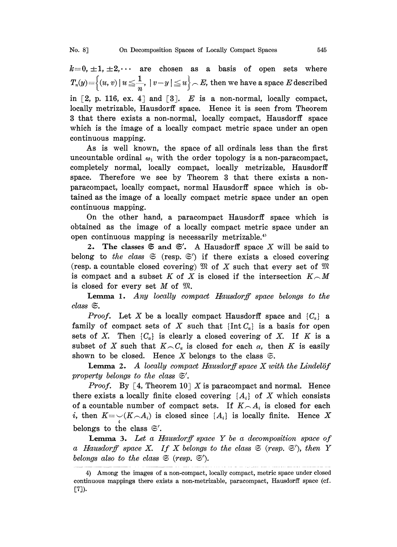$k=0, \pm 1, \pm 2, \cdots$  are chosen as a basis of open sets where  $T_n(y) = \Big\{(u,v) \ | \ u \leqq \frac{1}{n}, \ | \ v-y \ | \leqq u \Big\} \frown E$ , then we have a space  $E$  described in  $[2, p. 116, ex. 4]$  and  $[3]$ . E is a non-normal, locally compact, locally metrizable, Hausdorff space. Hence it is seen from Theorem 3 that there exists a non-normal, locally compact, Hausdorff space which is the image of a locally compact metric space under an open continuous mapping.

As is well known, the space of all ordinals less than the first uncountable ordinal  $\omega_1$  with the order topology is a non-paracompact, completely normal, locally compact, locally metrizable, Hausdorff space. Therefore we see by Theorem 3 that there exists a nonparacompact, locally compact, normal Hausdorff space which is obtained as the image of a locally compact metric space under an open continuous mapping.

On the other hand, a paracompact Hausdorff space which is obtained as the image of a locally compact metric space under an open continuous mapping is necessarily metrizable.<sup>4)</sup>

2. The classes  $\mathfrak{S}$  and  $\mathfrak{S}'$ . A Hausdorff space X will be said to belong to the class  $\mathfrak{S}$  (resp.  $\mathfrak{S}'$ ) if there exists a closed covering (resp. a countable closed covering)  $\mathfrak{M}$  of X such that every set of  $\mathfrak{M}$ is compact and a subset K of X is closed if the intersection  $K \cap M$ is closed for every set  $M$  of  $\mathfrak{M}$ .

Lemma 1. Any locally compact Hausdorff space belongs to the  $class \, \mathfrak{S}.$ 

*Proof.* Let X be a locally compact Hausdorff space and  $\{C_a\}$  a family of compact sets of X such that  $\{\text{Int } C_{\alpha}\}\$ is a basis for open sets of X. Then  $\{C_{\alpha}\}\$ is clearly a closed covering of X. If K is a subset of X such that  $K\setminus C_\alpha$  is closed for each  $\alpha$ , then K is easily shown to be closed. Hence X belongs to the class  $\mathfrak{S}$ .

**Lemma 2.** A locally compact Hausdorff space  $X$  with the Lindelöf property belongs to the class  $\mathfrak{S}'$ .

*Proof.* By [4, Theorem 10] X is paracompact and normal. Hence there exists a locally finite closed covering  $\{A_i\}$  of X which consists of a countable number of compact sets. If  $K \cap A_i$  is closed for each i, then  $K=\bigcup_i(K_{i-1},K_{i-1})$  is closed since  $\{A_i\}$  is locally finite. Hence X belongs to the class  $\mathfrak{S}'$ .

**Lemma 3.** Let a Hausdorff space  $Y$  be a decomposition space of a Hausdorff space X. If X belongs to the class  $\mathfrak{S}$  (resp.  $\mathfrak{S}'$ ), then Y belongs also to the class  $\mathfrak{S}$  (resp.  $\mathfrak{S}'$ ).

<sup>4)</sup> Among the images of a non-compact, locally compact, metric space under closed continuous mappings there exists a non-metrizable, paracompact, Hausdorff space (cf. [7]).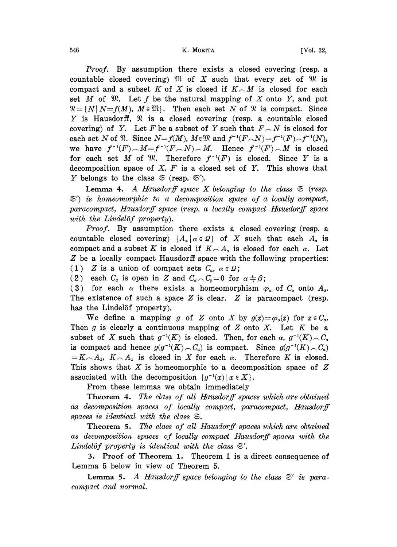546 **K. MORITA K. MORITA FVol. 32**,

Proof. By assumption there exists a closed covering (resp. a countable closed covering)  $\mathfrak{M}$  of X such that every set of  $\mathfrak{M}$  is compact and a subset K of X is closed if  $K \cap M$  is closed for each set M of  $\mathfrak{M}$ . Let f be the natural mapping of X onto Y, and put  $\mathfrak{N}=\{N\mid N=f(M), M\in\mathfrak{M}\}\$ . Then each set N of  $\mathfrak{N}$  is compact. Since Y is Hausdorff,  $\mathcal{R}$  is a closed covering (resp. a countable closed covering) of Y. Let F be a subset of Y such that  $F\_{N}$  is closed for each set N of  $\mathfrak{N}$ . Since  $N=f(M)$ ,  $M \in \mathfrak{M}$  and  $f^{-1}(F\cap N)=f^{-1}(F)\cap f^{-1}(N)$ , we have  $f^{-1}(F) \sim M = f^{-1}(F \sim N) \sim M$ . Hence  $f^{-1}(F) \sim M$  is closed for each set M of  $\mathfrak{M}$ . Therefore  $f^{-1}(F)$  is closed. Since Y is a decomposition space of  $X$ ,  $F$  is a closed set of  $Y$ . This shows that Y belongs to the class  $\mathfrak{S}$  (resp.  $\mathfrak{S}'$ ).

Lemma 4. A Hausdorff space X belonging to the class  $\mathfrak{S}$  (resp.  $\mathfrak{S}'$  is homeomorphic to a decomposition space of a locally compact, paracompact, Hausdorff space (resp. a locally compact Hausdorff space with the Lindelöf property).

*Proof.* By assumption there exists a closed covering (resp. a countable closed covering)  $\{A_{\alpha} | \alpha \in \Omega\}$  of X such that each  $A_{\alpha}$  is compact and a subset K is closed if  $K \cap A<sub>x</sub>$  is closed for each  $\alpha$ . Let Z be <sup>a</sup> locally compact Hausdorff space with the following properties: (1) Z is a union of compact sets  $C_{\alpha}$ ,  $\alpha \in \Omega$ ;

(2) each  $C_{\alpha}$  is open in Z and  $C_{\alpha} \setminus C_{\beta} = 0$  for  $\alpha \neq \beta$ ;

(3) for each  $\alpha$  there exists a homeomorphism  $\varphi_{\alpha}$  of  $C_{\alpha}$  onto  $A_{\alpha}$ . The existence of such a space  $Z$  is clear.  $Z$  is paracompact (resp. has the Lindelöf property).

We define a mapping g of Z onto X by  $g(z) = \varphi_0(z)$  for  $z \in C_\alpha$ . Then  $g$  is clearly a continuous mapping of  $Z$  onto  $X$ . Let  $K$  be a subset of X such that  $g^{-1}(K)$  is closed. Then, for each  $\alpha$ ,  $g^{-1}(K) \cap C_{\alpha}$ is compact and hence  $g(g^{-1}(K) \cap C_{\alpha})$  is compact. Since  $g(g^{-1}(K) \cap C_{\alpha})$  $=K\setminus A_1$ ,  $K\setminus A_2$  is closed in X for each  $\alpha$ . Therefore K is closed. This shows that  $X$  is homeomorphic to a decomposition space of  $Z$ associated with the decomposition  $\{g^{-1}(x) \mid x \in X\}.$ 

From these lemmas we obtain immediately

Theorem 4. The class of all Hausdorff spaces which are obtained as decomposition spaces of locally compact, paracompact, Hausdorff spaces is identical with the class  $\mathfrak{S}.$ 

Theorem 5. The class of all Hausdorff spaces which are obtained as decomposition spaces of locally compact Hausdorff spaces with the Lindelöf property is identical with the class  $\mathfrak{S}'$ .

3. Proof of Theorem 1. Theorem 1 is a direct consequence of Lemma <sup>5</sup> below in view of Theorem 5.

**Lemma 5.** A Hausdorff space belonging to the class  $\mathfrak{S}'$  is paracompact and normal.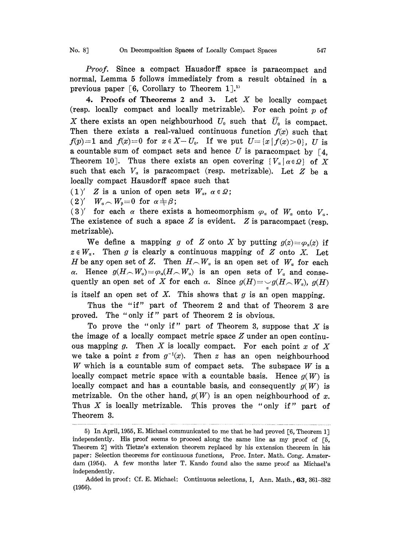No. 8] On Decomposition Spaces of Locally Compact Spaces 547

Proof. Since a compact Hausdorff space is paracompact and normal, Lemma <sup>5</sup> follows immediately from <sup>a</sup> result obtained in <sup>a</sup> previous paper [6, Corollary to Theorem 1].<sup>55</sup>

4. Proofs of Theorems 2 and 3. Let  $X$  be locally compact (resp. locally compact and locally metrizable). For each point  $p$  of X there exists an open neighbourhood  $U_0$  such that  $\overline{U}_0$  is compact. Then there exists a real-valued continuous function  $f(x)$  such that  $f(p)=1$  and  $f(x)=0$  for  $x \in X-U_0$ . If we put  $U=[x\mid f(x)>0]$ , U is a countable sum of compact sets and hence  $U$  is paracompact by [4, Theorem 10]. Thus there exists an open covering  $\{V_a \mid a \in \Omega\}$  of X such that each  $V_a$  is paracompact (resp. metrizable). Let  $Z$  be a locally compact Hausdorff space such that

 $(1)'$  Z is a union of open sets  $W_a$ ,  $\alpha \in \Omega$ ;

 $(2)'$   $W_a \sim W_\beta = 0$  for  $\alpha \neq \beta$ ;

(3)' for each  $\alpha$  there exists a homeomorphism  $\varphi_{\alpha}$  of  $W_{\alpha}$  onto  $V_{\alpha}$ . The existence of such a space  $Z$  is evident.  $Z$  is paracompact (resp. metrizable).

We define a mapping g of Z onto X by putting  $g(z) = \varphi_n(z)$  if  $z \in W_\alpha$ . Then g is clearly a continuous mapping of Z onto X. Let H be any open set of Z. Then  $H \cap W_a$  is an open set of  $W_a$  for each a. Hence  $g(H \sim W_a) = \varphi_a(H \sim W_a)$  is an open sets of  $V_a$  and consequently an open set of X for each  $\alpha$ . Since  $g(H) = -g(H \wedge W_{\alpha})$ ,  $g(H)$ is itself an open set of  $X$ . This shows that  $g$  is an open mapping.

Thus the "if" part of Theorem 2 and that of Theorem 3 are proved. The "only if" part of Theorem 2 is obvious.

To prove the "only if" part of Theorem 3, suppose that  $X$  is the image of a locally compact metric space  $Z$  under an open continuous mapping g. Then X is locally compact. For each point  $x$  of X we take a point z from  $g^{-1}(x)$ . Then z has an open neighbourhood W which is a countable sum of compact sets. The subspace  $W$  is a locally compact metric space with a countable basis. Hence  $g(W)$  is locally compact and has a countable basis, and consequently  $g(W)$  is metrizable. On the other hand,  $g(W)$  is an open neighbourhood of x. Thus  $X$  is locally metrizable. This proves the "only if" part of Theorem 3.

<sup>5)</sup> Ia April, 1955, E. Michael communicated to me that he had proved [6, Theorem lJ independently. His proof seems to proceed along the same line as my proof of  $[5, 1]$ Theorem 2J with Tietze's extension theorem replaced by his extension theorem in his paper: Selection theorems for continuous functions, Proc. Inter. Math. Cong. Amsterdam (1954). A few months later T. Kando found also the same proof as Michael's independently.

Added in proof: Cf. E. Michael: Continuous selections, I, Ann. Math., 63, 361-382 (1956).